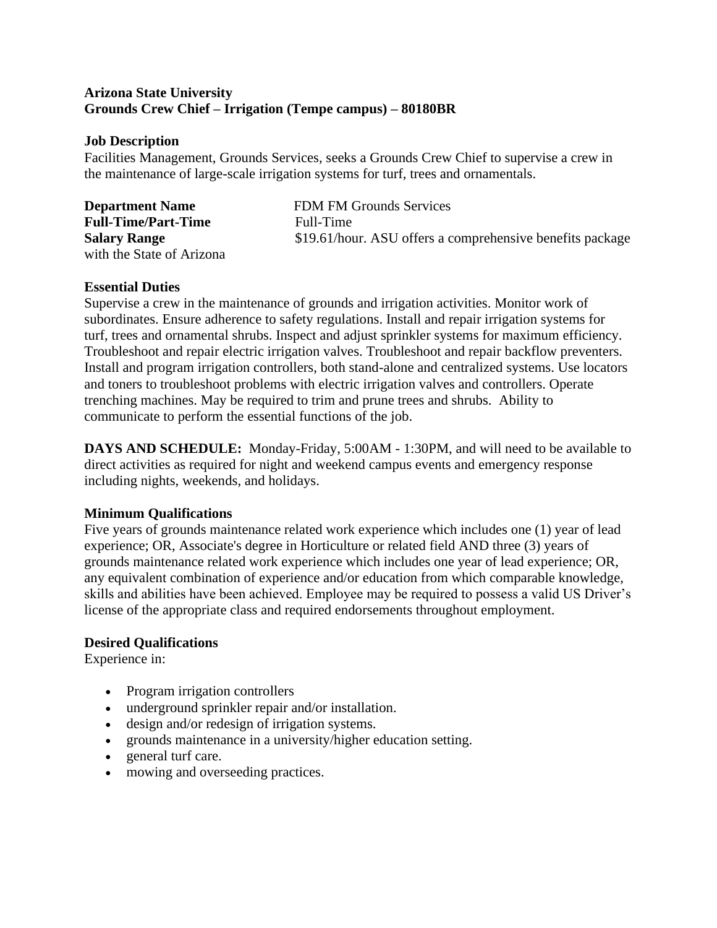#### **Arizona State University Grounds Crew Chief – Irrigation (Tempe campus) – 80180BR**

#### **Job Description**

Facilities Management, Grounds Services, seeks a Grounds Crew Chief to supervise a crew in the maintenance of large-scale irrigation systems for turf, trees and ornamentals.

| <b>Department Name</b>     | <b>FDM FM Grounds Services</b>                            |
|----------------------------|-----------------------------------------------------------|
| <b>Full-Time/Part-Time</b> | Full-Time                                                 |
| <b>Salary Range</b>        | \$19.61/hour. ASU offers a comprehensive benefits package |
| with the State of Arizona  |                                                           |

#### **Essential Duties**

Supervise a crew in the maintenance of grounds and irrigation activities. Monitor work of subordinates. Ensure adherence to safety regulations. Install and repair irrigation systems for turf, trees and ornamental shrubs. Inspect and adjust sprinkler systems for maximum efficiency. Troubleshoot and repair electric irrigation valves. Troubleshoot and repair backflow preventers. Install and program irrigation controllers, both stand-alone and centralized systems. Use locators and toners to troubleshoot problems with electric irrigation valves and controllers. Operate trenching machines. May be required to trim and prune trees and shrubs. Ability to communicate to perform the essential functions of the job.

**DAYS AND SCHEDULE:** Monday-Friday, 5:00AM - 1:30PM, and will need to be available to direct activities as required for night and weekend campus events and emergency response including nights, weekends, and holidays.

# **Minimum Qualifications**

Five years of grounds maintenance related work experience which includes one (1) year of lead experience; OR, Associate's degree in Horticulture or related field AND three (3) years of grounds maintenance related work experience which includes one year of lead experience; OR, any equivalent combination of experience and/or education from which comparable knowledge, skills and abilities have been achieved. Employee may be required to possess a valid US Driver's license of the appropriate class and required endorsements throughout employment.

# **Desired Qualifications**

Experience in:

- Program irrigation controllers
- underground sprinkler repair and/or installation.
- design and/or redesign of irrigation systems.
- grounds maintenance in a university/higher education setting.
- general turf care.
- mowing and overseeding practices.